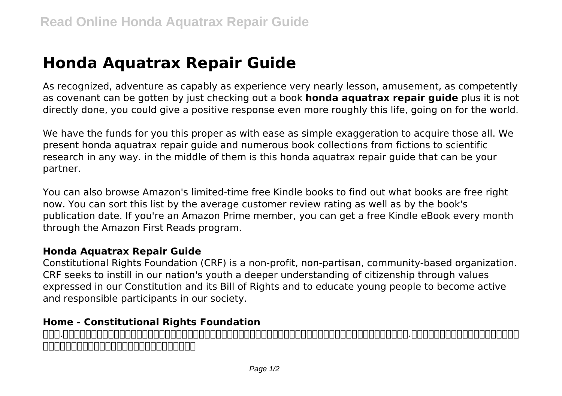## **Honda Aquatrax Repair Guide**

As recognized, adventure as capably as experience very nearly lesson, amusement, as competently as covenant can be gotten by just checking out a book **honda aquatrax repair guide** plus it is not directly done, you could give a positive response even more roughly this life, going on for the world.

We have the funds for you this proper as with ease as simple exaggeration to acquire those all. We present honda aquatrax repair guide and numerous book collections from fictions to scientific research in any way. in the middle of them is this honda aquatrax repair guide that can be your partner.

You can also browse Amazon's limited-time free Kindle books to find out what books are free right now. You can sort this list by the average customer review rating as well as by the book's publication date. If you're an Amazon Prime member, you can get a free Kindle eBook every month through the Amazon First Reads program.

## **Honda Aquatrax Repair Guide**

Constitutional Rights Foundation (CRF) is a non-profit, non-partisan, community-based organization. CRF seeks to instill in our nation's youth a deeper understanding of citizenship through values expressed in our Constitution and its Bill of Rights and to educate young people to become active and responsible participants in our society.

## **Home - Constitutional Rights Foundation**

ティー.ティーコーポレーションの採用情報ページです。「営業力は、最強のチカラ。」をコンセプトに採用に関する社員インタビューやティー.ティーコーポレーションでの働き方、会社 に関する情報を掲載しています。是非エントリーください。